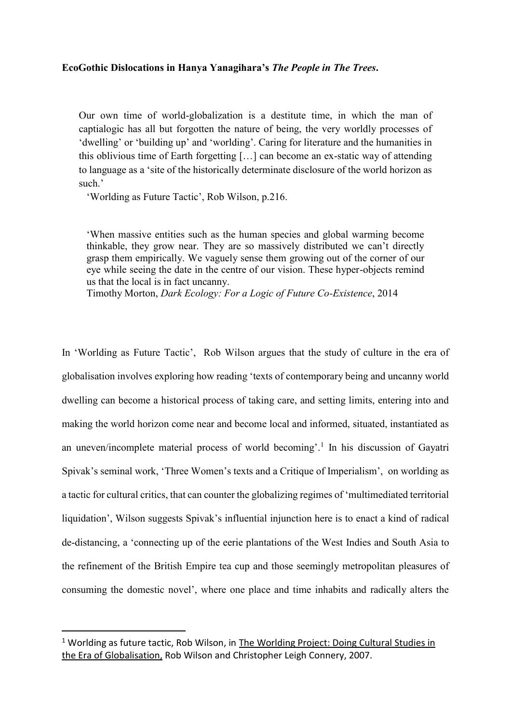## **EcoGothic Dislocations in Hanya Yanagihara's** *The People in The Trees***.**

Our own time of world-globalization is a destitute time, in which the man of captialogic has all but forgotten the nature of being, the very worldly processes of 'dwelling' or 'building up' and 'worlding'. Caring for literature and the humanities in this oblivious time of Earth forgetting […] can become an ex-static way of attending to language as a 'site of the historically determinate disclosure of the world horizon as such.'

'Worlding as Future Tactic', Rob Wilson, p.216.

'When massive entities such as the human species and global warming become thinkable, they grow near. They are so massively distributed we can't directly grasp them empirically. We vaguely sense them growing out of the corner of our eye while seeing the date in the centre of our vision. These hyper-objects remind us that the local is in fact uncanny.

Timothy Morton, *Dark Ecology: For a Logic of Future Co-Existence*, 2014

In 'Worlding as Future Tactic', Rob Wilson argues that the study of culture in the era of globalisation involves exploring how reading 'texts of contemporary being and uncanny world dwelling can become a historical process of taking care, and setting limits, entering into and making the world horizon come near and become local and informed, situated, instantiated as an uneven/incomplete material process of world becoming'.<sup>1</sup> In his discussion of Gayatri Spivak's seminal work, 'Three Women's texts and a Critique of Imperialism', on worlding as a tactic for cultural critics, that can counter the globalizing regimes of 'multimediated territorial liquidation', Wilson suggests Spivak's influential injunction here is to enact a kind of radical de-distancing, a 'connecting up of the eerie plantations of the West Indies and South Asia to the refinement of the British Empire tea cup and those seemingly metropolitan pleasures of consuming the domestic novel', where one place and time inhabits and radically alters the

 $\overline{a}$ 

 $1$  Worlding as future tactic, Rob Wilson, in The Worlding Project: Doing Cultural Studies in the Era of Globalisation, Rob Wilson and Christopher Leigh Connery, 2007.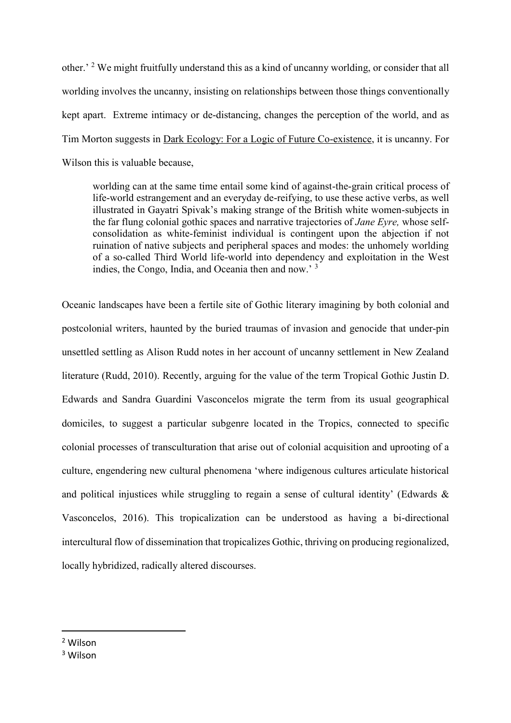other.' <sup>2</sup> We might fruitfully understand this as a kind of uncanny worlding, or consider that all worlding involves the uncanny, insisting on relationships between those things conventionally kept apart. Extreme intimacy or de-distancing, changes the perception of the world, and as Tim Morton suggests in Dark Ecology: For a Logic of Future Co-existence, it is uncanny. For Wilson this is valuable because,

worlding can at the same time entail some kind of against-the-grain critical process of life-world estrangement and an everyday de-reifying, to use these active verbs, as well illustrated in Gayatri Spivak's making strange of the British white women-subjects in the far flung colonial gothic spaces and narrative trajectories of *Jane Eyre,* whose selfconsolidation as white-feminist individual is contingent upon the abjection if not ruination of native subjects and peripheral spaces and modes: the unhomely worlding of a so-called Third World life-world into dependency and exploitation in the West indies, the Congo, India, and Oceania then and now.' <sup>3</sup>

Oceanic landscapes have been a fertile site of Gothic literary imagining by both colonial and postcolonial writers, haunted by the buried traumas of invasion and genocide that under-pin unsettled settling as Alison Rudd notes in her account of uncanny settlement in New Zealand literature (Rudd, 2010). Recently, arguing for the value of the term Tropical Gothic Justin D. Edwards and Sandra Guardini Vasconcelos migrate the term from its usual geographical domiciles, to suggest a particular subgenre located in the Tropics, connected to specific colonial processes of transculturation that arise out of colonial acquisition and uprooting of a culture, engendering new cultural phenomena 'where indigenous cultures articulate historical and political injustices while struggling to regain a sense of cultural identity' (Edwards & Vasconcelos, 2016). This tropicalization can be understood as having a bi-directional intercultural flow of dissemination that tropicalizes Gothic, thriving on producing regionalized, locally hybridized, radically altered discourses.

<sup>2</sup> Wilson

 $\overline{a}$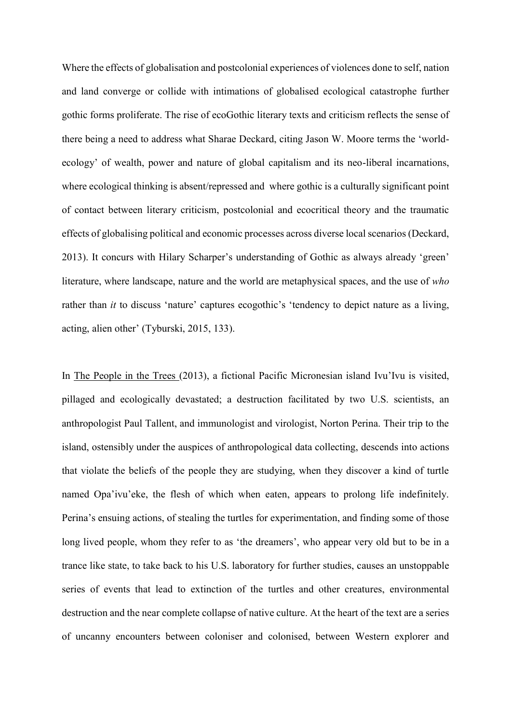Where the effects of globalisation and postcolonial experiences of violences done to self, nation and land converge or collide with intimations of globalised ecological catastrophe further gothic forms proliferate. The rise of ecoGothic literary texts and criticism reflects the sense of there being a need to address what Sharae Deckard, citing Jason W. Moore terms the 'worldecology' of wealth, power and nature of global capitalism and its neo-liberal incarnations, where ecological thinking is absent/repressed and where gothic is a culturally significant point of contact between literary criticism, postcolonial and ecocritical theory and the traumatic effects of globalising political and economic processes across diverse local scenarios (Deckard, 2013). It concurs with Hilary Scharper's understanding of Gothic as always already 'green' literature, where landscape, nature and the world are metaphysical spaces, and the use of *who* rather than *it* to discuss 'nature' captures ecogothic's 'tendency to depict nature as a living, acting, alien other' (Tyburski, 2015, 133).

In The People in the Trees (2013), a fictional Pacific Micronesian island Ivu'Ivu is visited, pillaged and ecologically devastated; a destruction facilitated by two U.S. scientists, an anthropologist Paul Tallent, and immunologist and virologist, Norton Perina. Their trip to the island, ostensibly under the auspices of anthropological data collecting, descends into actions that violate the beliefs of the people they are studying, when they discover a kind of turtle named Opa'ivu'eke, the flesh of which when eaten, appears to prolong life indefinitely. Perina's ensuing actions, of stealing the turtles for experimentation, and finding some of those long lived people, whom they refer to as 'the dreamers', who appear very old but to be in a trance like state, to take back to his U.S. laboratory for further studies, causes an unstoppable series of events that lead to extinction of the turtles and other creatures, environmental destruction and the near complete collapse of native culture. At the heart of the text are a series of uncanny encounters between coloniser and colonised, between Western explorer and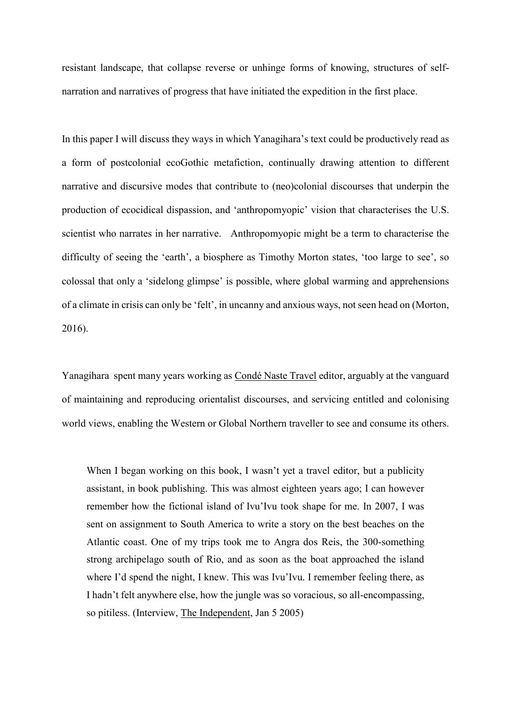resistant landscape, that collapse reverse or unhinge forms of knowing, structures of selfnarration and narratives of progress that have initiated the expedition in the first place.

In this paper I will discuss they ways in which Yanagihara's text could be productively read as a form of postcolonial ecoGothic metafiction, continually drawing attention to different narrative and discursive modes that contribute to (neo)colonial discourses that underpin the production of ecocidical dispassion, and 'anthropomyopic' vision that characterises the U.S. scientist who narrates in her narrative. Anthropomyopic might be a term to characterise the difficulty of seeing the 'earth', a biosphere as Timothy Morton states, 'too large to see', so colossal that only a 'sidelong glimpse' is possible, where global warming and apprehensions of a climate in crisis can only be 'felt', in uncanny and anxious ways, not seen head on (Morton, 2016).

Yanagihara spent many years working as Condé Naste Travel editor, arguably at the vanguard of maintaining and reproducing orientalist discourses, and servicing entitled and colonising world views, enabling the Western or Global Northern traveller to see and consume its others.

When I began working on this book, I wasn't yet a travel editor, but a publicity assistant, in book publishing. This was almost eighteen years ago; I can however remember how the fictional island of Ivu'Ivu took shape for me. In 2007, I was sent on assignment to South America to write a story on the best beaches on the Atlantic coast. One of my trips took me to Angra dos Reis, the 300-something strong archipelago south of Rio, and as soon as the boat approached the island where I'd spend the night, I knew. This was Ivu'Ivu. I remember feeling there, as I hadn't felt anywhere else, how the jungle was so voracious, so all-encompassing, so pitiless. (Interview, The Independent, Jan 5 2005)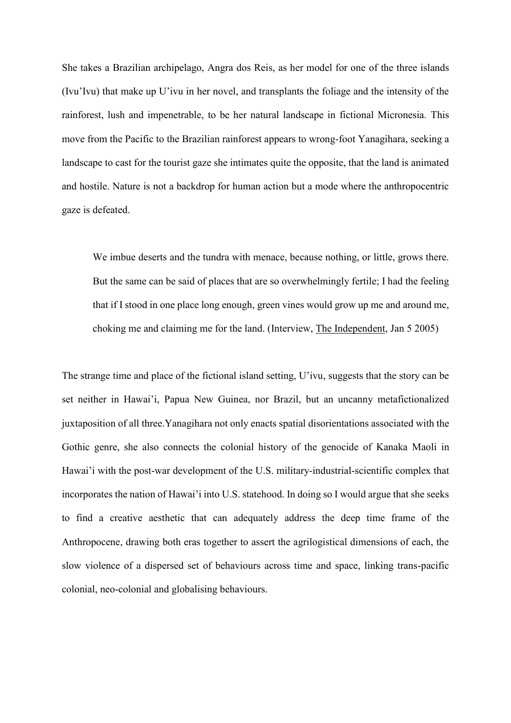She takes a Brazilian archipelago, Angra dos Reis, as her model for one of the three islands (Ivu'Ivu) that make up U'ivu in her novel, and transplants the foliage and the intensity of the rainforest, lush and impenetrable, to be her natural landscape in fictional Micronesia. This move from the Pacific to the Brazilian rainforest appears to wrong-foot Yanagihara, seeking a landscape to cast for the tourist gaze she intimates quite the opposite, that the land is animated and hostile. Nature is not a backdrop for human action but a mode where the anthropocentric gaze is defeated.

We imbue deserts and the tundra with menace, because nothing, or little, grows there. But the same can be said of places that are so overwhelmingly fertile; I had the feeling that if I stood in one place long enough, green vines would grow up me and around me, choking me and claiming me for the land. (Interview, The Independent, Jan 5 2005)

The strange time and place of the fictional island setting, U'ivu, suggests that the story can be set neither in Hawai'i, Papua New Guinea, nor Brazil, but an uncanny metafictionalized juxtaposition of all three.Yanagihara not only enacts spatial disorientations associated with the Gothic genre, she also connects the colonial history of the genocide of Kanaka Maoli in Hawai'i with the post-war development of the U.S. military-industrial-scientific complex that incorporates the nation of Hawai'i into U.S. statehood. In doing so I would argue that she seeks to find a creative aesthetic that can adequately address the deep time frame of the Anthropocene, drawing both eras together to assert the agrilogistical dimensions of each, the slow violence of a dispersed set of behaviours across time and space, linking trans-pacific colonial, neo-colonial and globalising behaviours.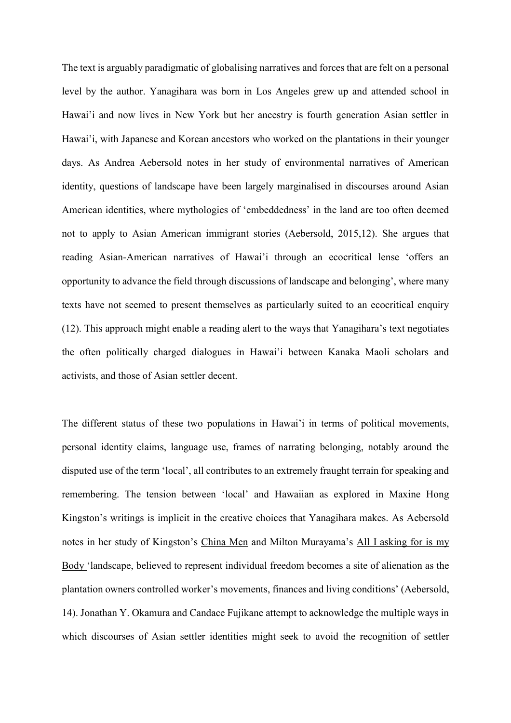The text is arguably paradigmatic of globalising narratives and forces that are felt on a personal level by the author. Yanagihara was born in Los Angeles grew up and attended school in Hawai'i and now lives in New York but her ancestry is fourth generation Asian settler in Hawai'i, with Japanese and Korean ancestors who worked on the plantations in their younger days. As Andrea Aebersold notes in her study of environmental narratives of American identity, questions of landscape have been largely marginalised in discourses around Asian American identities, where mythologies of 'embeddedness' in the land are too often deemed not to apply to Asian American immigrant stories (Aebersold, 2015,12). She argues that reading Asian-American narratives of Hawai'i through an ecocritical lense 'offers an opportunity to advance the field through discussions of landscape and belonging', where many texts have not seemed to present themselves as particularly suited to an ecocritical enquiry (12). This approach might enable a reading alert to the ways that Yanagihara's text negotiates the often politically charged dialogues in Hawai'i between Kanaka Maoli scholars and activists, and those of Asian settler decent.

The different status of these two populations in Hawai'i in terms of political movements, personal identity claims, language use, frames of narrating belonging, notably around the disputed use of the term 'local', all contributes to an extremely fraught terrain for speaking and remembering. The tension between 'local' and Hawaiian as explored in Maxine Hong Kingston's writings is implicit in the creative choices that Yanagihara makes. As Aebersold notes in her study of Kingston's China Men and Milton Murayama's All I asking for is my Body 'landscape, believed to represent individual freedom becomes a site of alienation as the plantation owners controlled worker's movements, finances and living conditions' (Aebersold, 14). Jonathan Y. Okamura and Candace Fujikane attempt to acknowledge the multiple ways in which discourses of Asian settler identities might seek to avoid the recognition of settler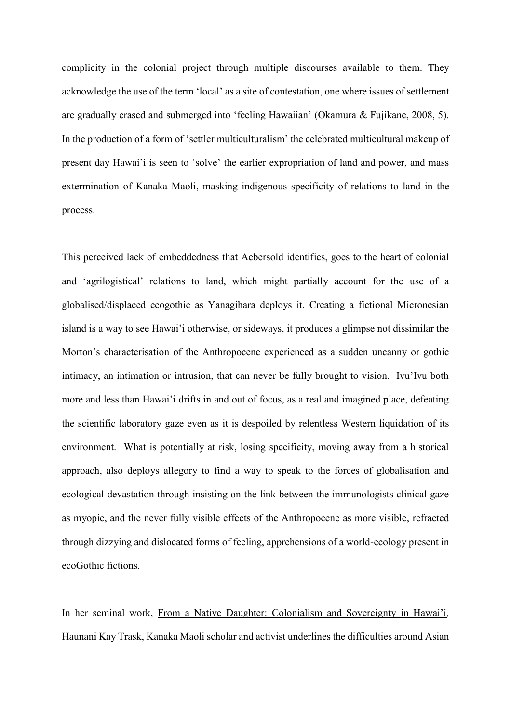complicity in the colonial project through multiple discourses available to them. They acknowledge the use of the term 'local' as a site of contestation, one where issues of settlement are gradually erased and submerged into 'feeling Hawaiian' (Okamura & Fujikane, 2008, 5). In the production of a form of 'settler multiculturalism' the celebrated multicultural makeup of present day Hawai'i is seen to 'solve' the earlier expropriation of land and power, and mass extermination of Kanaka Maoli, masking indigenous specificity of relations to land in the process.

This perceived lack of embeddedness that Aebersold identifies, goes to the heart of colonial and 'agrilogistical' relations to land, which might partially account for the use of a globalised/displaced ecogothic as Yanagihara deploys it. Creating a fictional Micronesian island is a way to see Hawai'i otherwise, or sideways, it produces a glimpse not dissimilar the Morton's characterisation of the Anthropocene experienced as a sudden uncanny or gothic intimacy, an intimation or intrusion, that can never be fully brought to vision. Ivu'Ivu both more and less than Hawai'i drifts in and out of focus, as a real and imagined place, defeating the scientific laboratory gaze even as it is despoiled by relentless Western liquidation of its environment. What is potentially at risk, losing specificity, moving away from a historical approach, also deploys allegory to find a way to speak to the forces of globalisation and ecological devastation through insisting on the link between the immunologists clinical gaze as myopic, and the never fully visible effects of the Anthropocene as more visible, refracted through dizzying and dislocated forms of feeling, apprehensions of a world-ecology present in ecoGothic fictions.

In her seminal work, From a Native Daughter: Colonialism and Sovereignty in Hawai'i*,*  Haunani Kay Trask, Kanaka Maoli scholar and activist underlines the difficulties around Asian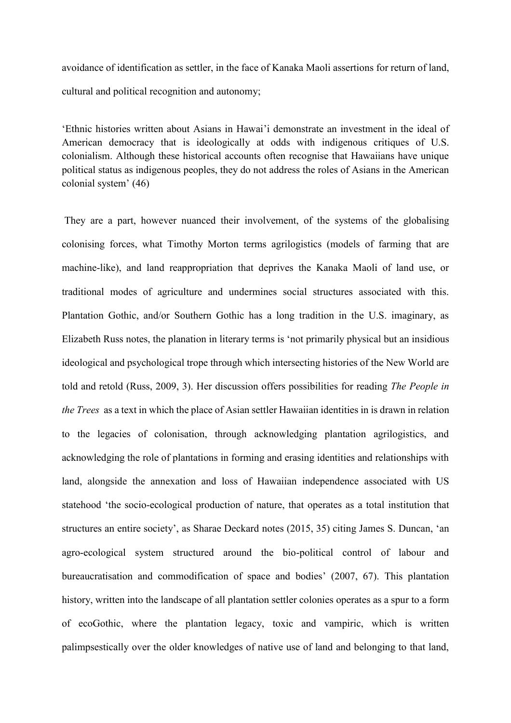avoidance of identification as settler, in the face of Kanaka Maoli assertions for return of land, cultural and political recognition and autonomy;

'Ethnic histories written about Asians in Hawai'i demonstrate an investment in the ideal of American democracy that is ideologically at odds with indigenous critiques of U.S. colonialism. Although these historical accounts often recognise that Hawaiians have unique political status as indigenous peoples, they do not address the roles of Asians in the American colonial system' (46)

They are a part, however nuanced their involvement, of the systems of the globalising colonising forces, what Timothy Morton terms agrilogistics (models of farming that are machine-like), and land reappropriation that deprives the Kanaka Maoli of land use, or traditional modes of agriculture and undermines social structures associated with this. Plantation Gothic, and/or Southern Gothic has a long tradition in the U.S. imaginary, as Elizabeth Russ notes, the planation in literary terms is 'not primarily physical but an insidious ideological and psychological trope through which intersecting histories of the New World are told and retold (Russ, 2009, 3). Her discussion offers possibilities for reading *The People in the Trees* as a text in which the place of Asian settler Hawaiian identities in is drawn in relation to the legacies of colonisation, through acknowledging plantation agrilogistics, and acknowledging the role of plantations in forming and erasing identities and relationships with land, alongside the annexation and loss of Hawaiian independence associated with US statehood 'the socio-ecological production of nature, that operates as a total institution that structures an entire society', as Sharae Deckard notes (2015, 35) citing James S. Duncan, 'an agro-ecological system structured around the bio-political control of labour and bureaucratisation and commodification of space and bodies' (2007, 67). This plantation history, written into the landscape of all plantation settler colonies operates as a spur to a form of ecoGothic, where the plantation legacy, toxic and vampiric, which is written palimpsestically over the older knowledges of native use of land and belonging to that land,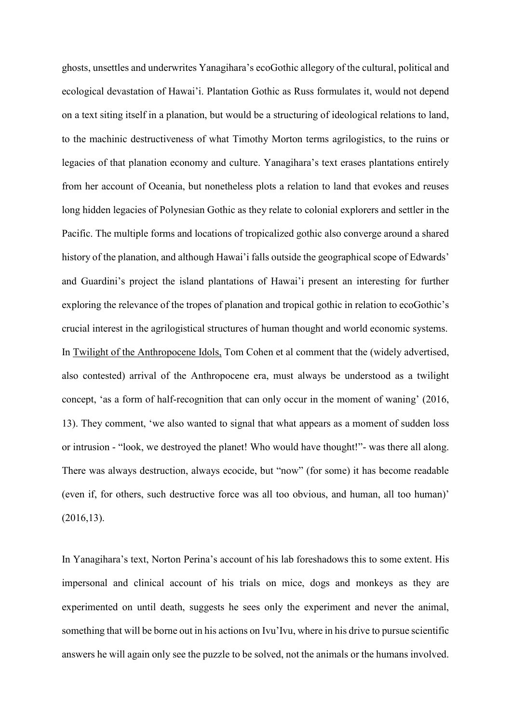ghosts, unsettles and underwrites Yanagihara's ecoGothic allegory of the cultural, political and ecological devastation of Hawai'i. Plantation Gothic as Russ formulates it, would not depend on a text siting itself in a planation, but would be a structuring of ideological relations to land, to the machinic destructiveness of what Timothy Morton terms agrilogistics, to the ruins or legacies of that planation economy and culture. Yanagihara's text erases plantations entirely from her account of Oceania, but nonetheless plots a relation to land that evokes and reuses long hidden legacies of Polynesian Gothic as they relate to colonial explorers and settler in the Pacific. The multiple forms and locations of tropicalized gothic also converge around a shared history of the planation, and although Hawai'i falls outside the geographical scope of Edwards' and Guardini's project the island plantations of Hawai'i present an interesting for further exploring the relevance of the tropes of planation and tropical gothic in relation to ecoGothic's crucial interest in the agrilogistical structures of human thought and world economic systems. In Twilight of the Anthropocene Idols, Tom Cohen et al comment that the (widely advertised, also contested) arrival of the Anthropocene era, must always be understood as a twilight concept, 'as a form of half-recognition that can only occur in the moment of waning' (2016, 13). They comment, 'we also wanted to signal that what appears as a moment of sudden loss or intrusion - "look, we destroyed the planet! Who would have thought!"- was there all along. There was always destruction, always ecocide, but "now" (for some) it has become readable (even if, for others, such destructive force was all too obvious, and human, all too human)' (2016,13).

In Yanagihara's text, Norton Perina's account of his lab foreshadows this to some extent. His impersonal and clinical account of his trials on mice, dogs and monkeys as they are experimented on until death, suggests he sees only the experiment and never the animal, something that will be borne out in his actions on Ivu'Ivu, where in his drive to pursue scientific answers he will again only see the puzzle to be solved, not the animals or the humans involved.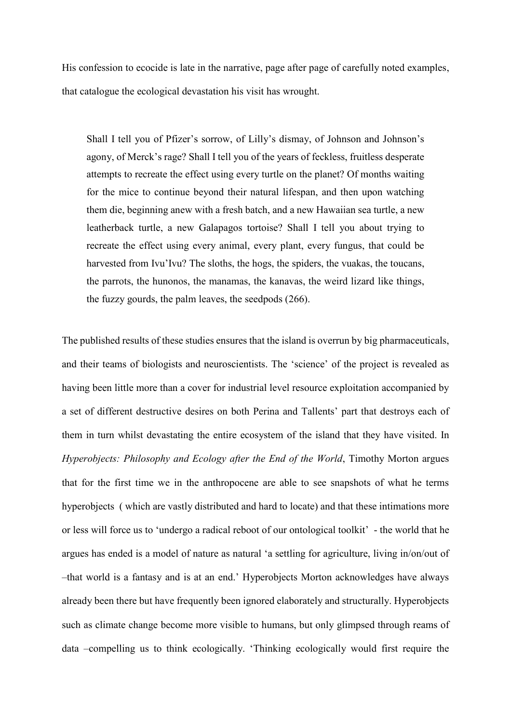His confession to ecocide is late in the narrative, page after page of carefully noted examples, that catalogue the ecological devastation his visit has wrought.

Shall I tell you of Pfizer's sorrow, of Lilly's dismay, of Johnson and Johnson's agony, of Merck's rage? Shall I tell you of the years of feckless, fruitless desperate attempts to recreate the effect using every turtle on the planet? Of months waiting for the mice to continue beyond their natural lifespan, and then upon watching them die, beginning anew with a fresh batch, and a new Hawaiian sea turtle, a new leatherback turtle, a new Galapagos tortoise? Shall I tell you about trying to recreate the effect using every animal, every plant, every fungus, that could be harvested from Ivu'Ivu? The sloths, the hogs, the spiders, the vuakas, the toucans, the parrots, the hunonos, the manamas, the kanavas, the weird lizard like things, the fuzzy gourds, the palm leaves, the seedpods (266).

The published results of these studies ensures that the island is overrun by big pharmaceuticals, and their teams of biologists and neuroscientists. The 'science' of the project is revealed as having been little more than a cover for industrial level resource exploitation accompanied by a set of different destructive desires on both Perina and Tallents' part that destroys each of them in turn whilst devastating the entire ecosystem of the island that they have visited. In *Hyperobjects: Philosophy and Ecology after the End of the World*, Timothy Morton argues that for the first time we in the anthropocene are able to see snapshots of what he terms hyperobjects ( which are vastly distributed and hard to locate) and that these intimations more or less will force us to 'undergo a radical reboot of our ontological toolkit' - the world that he argues has ended is a model of nature as natural 'a settling for agriculture, living in/on/out of –that world is a fantasy and is at an end.' Hyperobjects Morton acknowledges have always already been there but have frequently been ignored elaborately and structurally. Hyperobjects such as climate change become more visible to humans, but only glimpsed through reams of data –compelling us to think ecologically. 'Thinking ecologically would first require the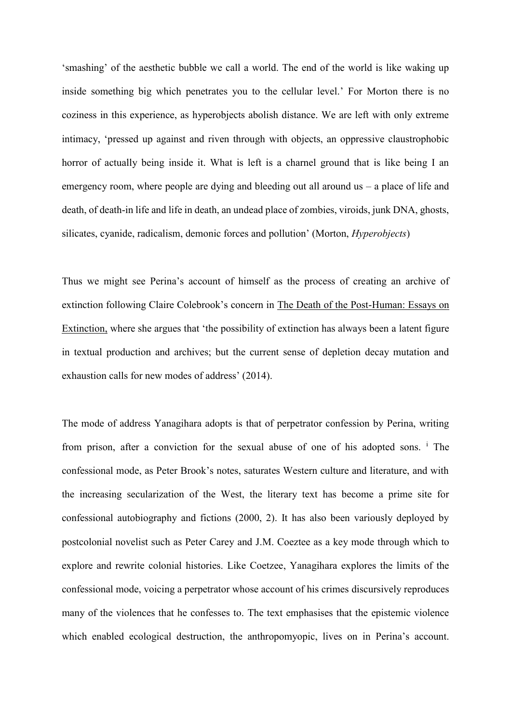'smashing' of the aesthetic bubble we call a world. The end of the world is like waking up inside something big which penetrates you to the cellular level.' For Morton there is no coziness in this experience, as hyperobjects abolish distance. We are left with only extreme intimacy, 'pressed up against and riven through with objects, an oppressive claustrophobic horror of actually being inside it. What is left is a charnel ground that is like being I an emergency room, where people are dying and bleeding out all around us – a place of life and death, of death-in life and life in death, an undead place of zombies, viroids, junk DNA, ghosts, silicates, cyanide, radicalism, demonic forces and pollution' (Morton, *Hyperobjects*)

Thus we might see Perina's account of himself as the process of creating an archive of extinction following Claire Colebrook's concern in The Death of the Post-Human: Essays on Extinction, where she argues that 'the possibility of extinction has always been a latent figure in textual production and archives; but the current sense of depletion decay mutation and exhaustion calls for new modes of address' (2014).

The mode of address Yanagihara adopts is that of perpetrator confession by Perina, writing from prison, after a conviction for the sexual abuse of one of his adopted sons. <sup>i</sup> The confessional mode, as Peter Brook's notes, saturates Western culture and literature, and with the increasing secularization of the West, the literary text has become a prime site for confessional autobiography and fictions (2000, 2). It has also been variously deployed by postcolonial novelist such as Peter Carey and J.M. Coeztee as a key mode through which to explore and rewrite colonial histories. Like Coetzee, Yanagihara explores the limits of the confessional mode, voicing a perpetrator whose account of his crimes discursively reproduces many of the violences that he confesses to. The text emphasises that the epistemic violence which enabled ecological destruction, the anthropomyopic, lives on in Perina's account.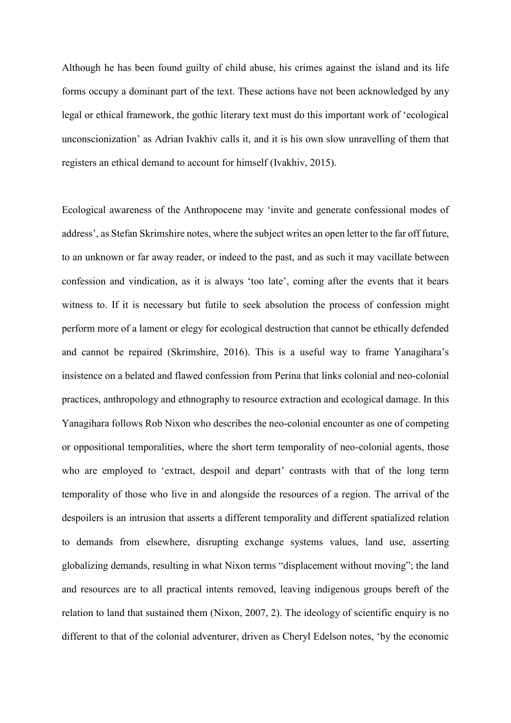Although he has been found guilty of child abuse, his crimes against the island and its life forms occupy a dominant part of the text. These actions have not been acknowledged by any legal or ethical framework, the gothic literary text must do this important work of 'ecological unconscionization' as Adrian Ivakhiv calls it, and it is his own slow unravelling of them that registers an ethical demand to account for himself (Ivakhiv, 2015).

Ecological awareness of the Anthropocene may 'invite and generate confessional modes of address', as Stefan Skrimshire notes, where the subject writes an open letter to the far off future, to an unknown or far away reader, or indeed to the past, and as such it may vacillate between confession and vindication, as it is always 'too late', coming after the events that it bears witness to. If it is necessary but futile to seek absolution the process of confession might perform more of a lament or elegy for ecological destruction that cannot be ethically defended and cannot be repaired (Skrimshire, 2016). This is a useful way to frame Yanagihara's insistence on a belated and flawed confession from Perina that links colonial and neo-colonial practices, anthropology and ethnography to resource extraction and ecological damage. In this Yanagihara follows Rob Nixon who describes the neo-colonial encounter as one of competing or oppositional temporalities, where the short term temporality of neo-colonial agents, those who are employed to 'extract, despoil and depart' contrasts with that of the long term temporality of those who live in and alongside the resources of a region. The arrival of the despoilers is an intrusion that asserts a different temporality and different spatialized relation to demands from elsewhere, disrupting exchange systems values, land use, asserting globalizing demands, resulting in what Nixon terms "displacement without moving"; the land and resources are to all practical intents removed, leaving indigenous groups bereft of the relation to land that sustained them (Nixon, 2007, 2). The ideology of scientific enquiry is no different to that of the colonial adventurer, driven as Cheryl Edelson notes, 'by the economic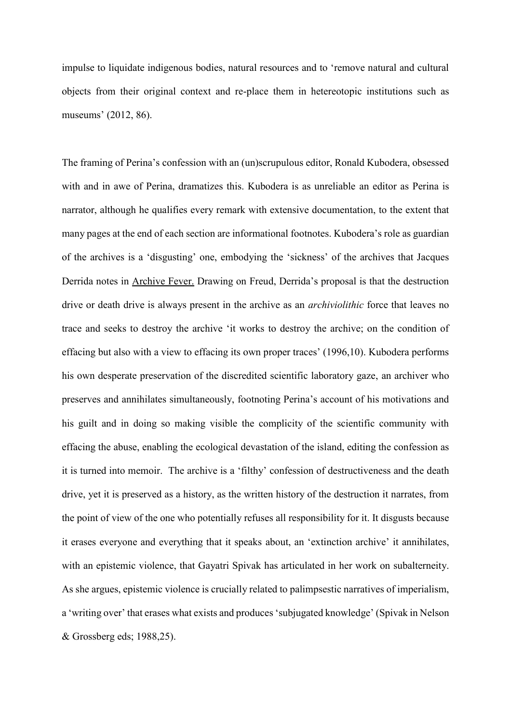impulse to liquidate indigenous bodies, natural resources and to 'remove natural and cultural objects from their original context and re-place them in hetereotopic institutions such as museums' (2012, 86).

The framing of Perina's confession with an (un)scrupulous editor, Ronald Kubodera, obsessed with and in awe of Perina, dramatizes this. Kubodera is as unreliable an editor as Perina is narrator, although he qualifies every remark with extensive documentation, to the extent that many pages at the end of each section are informational footnotes. Kubodera's role as guardian of the archives is a 'disgusting' one, embodying the 'sickness' of the archives that Jacques Derrida notes in Archive Fever. Drawing on Freud, Derrida's proposal is that the destruction drive or death drive is always present in the archive as an *archiviolithic* force that leaves no trace and seeks to destroy the archive 'it works to destroy the archive; on the condition of effacing but also with a view to effacing its own proper traces' (1996,10). Kubodera performs his own desperate preservation of the discredited scientific laboratory gaze, an archiver who preserves and annihilates simultaneously, footnoting Perina's account of his motivations and his guilt and in doing so making visible the complicity of the scientific community with effacing the abuse, enabling the ecological devastation of the island, editing the confession as it is turned into memoir. The archive is a 'filthy' confession of destructiveness and the death drive, yet it is preserved as a history, as the written history of the destruction it narrates, from the point of view of the one who potentially refuses all responsibility for it. It disgusts because it erases everyone and everything that it speaks about, an 'extinction archive' it annihilates, with an epistemic violence, that Gayatri Spivak has articulated in her work on subalterneity. As she argues, epistemic violence is crucially related to palimpsestic narratives of imperialism, a 'writing over' that erases what exists and produces 'subjugated knowledge' (Spivak in Nelson & Grossberg eds; 1988,25).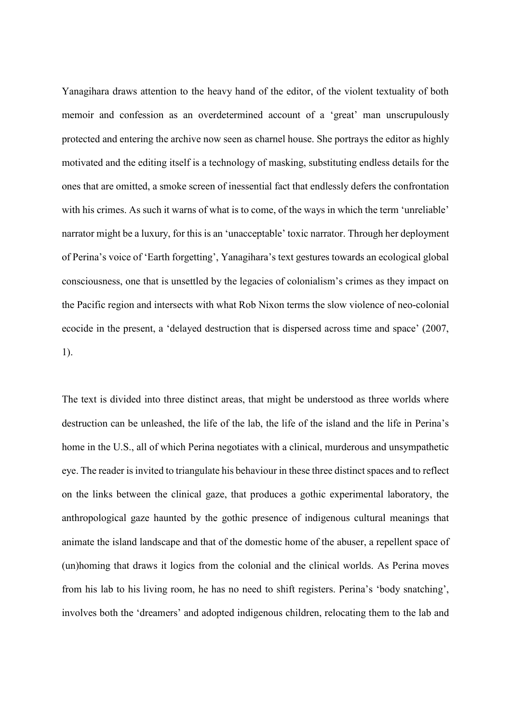Yanagihara draws attention to the heavy hand of the editor, of the violent textuality of both memoir and confession as an overdetermined account of a 'great' man unscrupulously protected and entering the archive now seen as charnel house. She portrays the editor as highly motivated and the editing itself is a technology of masking, substituting endless details for the ones that are omitted, a smoke screen of inessential fact that endlessly defers the confrontation with his crimes. As such it warns of what is to come, of the ways in which the term 'unreliable' narrator might be a luxury, for this is an 'unacceptable' toxic narrator. Through her deployment of Perina's voice of 'Earth forgetting', Yanagihara's text gestures towards an ecological global consciousness, one that is unsettled by the legacies of colonialism's crimes as they impact on the Pacific region and intersects with what Rob Nixon terms the slow violence of neo-colonial ecocide in the present, a 'delayed destruction that is dispersed across time and space' (2007, 1).

The text is divided into three distinct areas, that might be understood as three worlds where destruction can be unleashed, the life of the lab, the life of the island and the life in Perina's home in the U.S., all of which Perina negotiates with a clinical, murderous and unsympathetic eye. The reader is invited to triangulate his behaviour in these three distinct spaces and to reflect on the links between the clinical gaze, that produces a gothic experimental laboratory, the anthropological gaze haunted by the gothic presence of indigenous cultural meanings that animate the island landscape and that of the domestic home of the abuser, a repellent space of (un)homing that draws it logics from the colonial and the clinical worlds. As Perina moves from his lab to his living room, he has no need to shift registers. Perina's 'body snatching', involves both the 'dreamers' and adopted indigenous children, relocating them to the lab and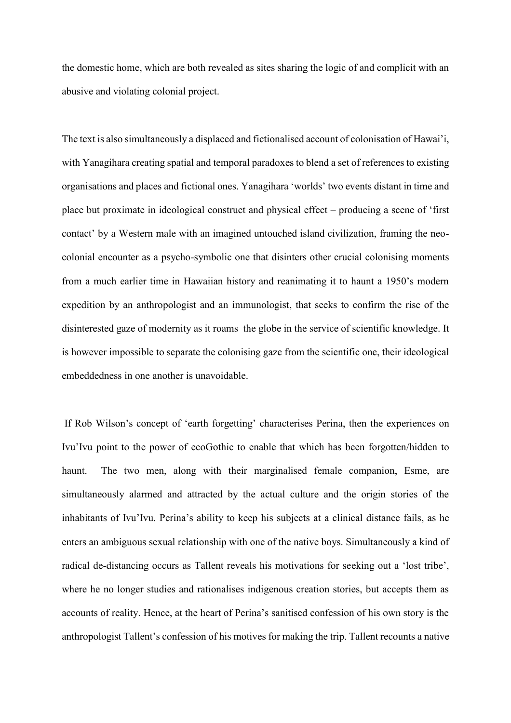the domestic home, which are both revealed as sites sharing the logic of and complicit with an abusive and violating colonial project.

The text is also simultaneously a displaced and fictionalised account of colonisation of Hawai'i, with Yanagihara creating spatial and temporal paradoxes to blend a set of references to existing organisations and places and fictional ones. Yanagihara 'worlds' two events distant in time and place but proximate in ideological construct and physical effect – producing a scene of 'first contact' by a Western male with an imagined untouched island civilization, framing the neocolonial encounter as a psycho-symbolic one that disinters other crucial colonising moments from a much earlier time in Hawaiian history and reanimating it to haunt a 1950's modern expedition by an anthropologist and an immunologist, that seeks to confirm the rise of the disinterested gaze of modernity as it roams the globe in the service of scientific knowledge. It is however impossible to separate the colonising gaze from the scientific one, their ideological embeddedness in one another is unavoidable.

If Rob Wilson's concept of 'earth forgetting' characterises Perina, then the experiences on Ivu'Ivu point to the power of ecoGothic to enable that which has been forgotten/hidden to haunt. The two men, along with their marginalised female companion, Esme, are simultaneously alarmed and attracted by the actual culture and the origin stories of the inhabitants of Ivu'Ivu. Perina's ability to keep his subjects at a clinical distance fails, as he enters an ambiguous sexual relationship with one of the native boys. Simultaneously a kind of radical de-distancing occurs as Tallent reveals his motivations for seeking out a 'lost tribe', where he no longer studies and rationalises indigenous creation stories, but accepts them as accounts of reality. Hence, at the heart of Perina's sanitised confession of his own story is the anthropologist Tallent's confession of his motives for making the trip. Tallent recounts a native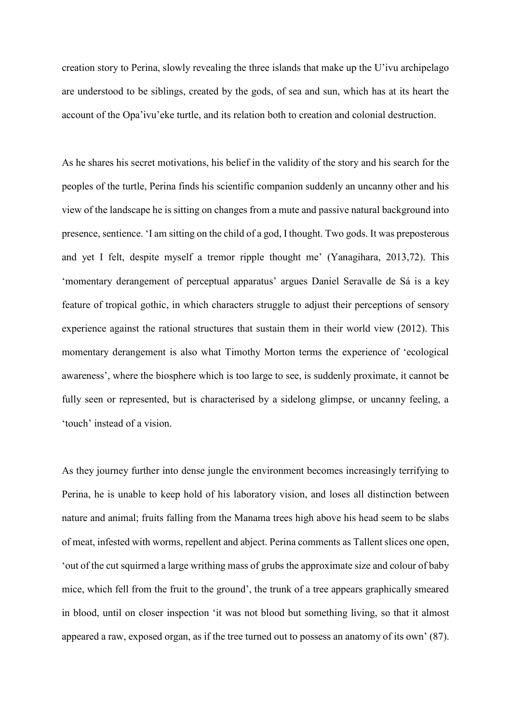creation story to Perina, slowly revealing the three islands that make up the U'ivu archipelago are understood to be siblings, created by the gods, of sea and sun, which has at its heart the account of the Opa'ivu'eke turtle, and its relation both to creation and colonial destruction.

As he shares his secret motivations, his belief in the validity of the story and his search for the peoples of the turtle, Perina finds his scientific companion suddenly an uncanny other and his view of the landscape he is sitting on changes from a mute and passive natural background into presence, sentience. 'I am sitting on the child of a god, I thought. Two gods. It was preposterous and yet I felt, despite myself a tremor ripple thought me' (Yanagihara, 2013,72). This 'momentary derangement of perceptual apparatus' argues Daniel Seravalle de Sá is a key feature of tropical gothic, in which characters struggle to adjust their perceptions of sensory experience against the rational structures that sustain them in their world view (2012). This momentary derangement is also what Timothy Morton terms the experience of 'ecological awareness', where the biosphere which is too large to see, is suddenly proximate, it cannot be fully seen or represented, but is characterised by a sidelong glimpse, or uncanny feeling, a 'touch' instead of a vision.

As they journey further into dense jungle the environment becomes increasingly terrifying to Perina, he is unable to keep hold of his laboratory vision, and loses all distinction between nature and animal; fruits falling from the Manama trees high above his head seem to be slabs of meat, infested with worms, repellent and abject. Perina comments as Tallent slices one open, 'out of the cut squirmed a large writhing mass of grubs the approximate size and colour of baby mice, which fell from the fruit to the ground', the trunk of a tree appears graphically smeared in blood, until on closer inspection 'it was not blood but something living, so that it almost appeared a raw, exposed organ, as if the tree turned out to possess an anatomy of its own' (87).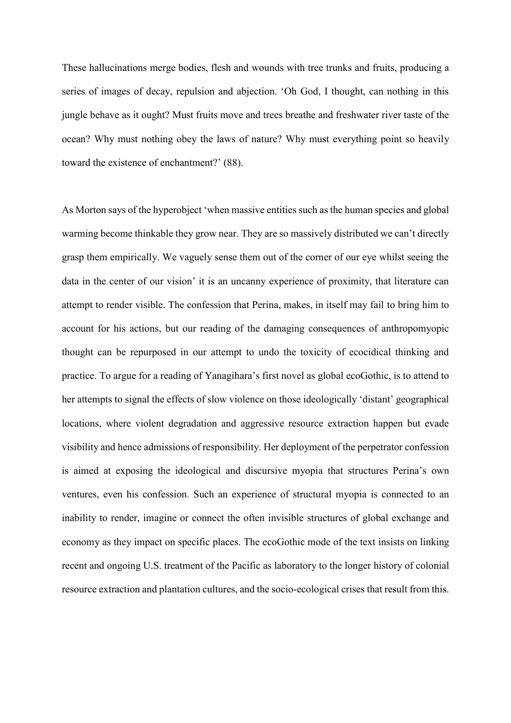These hallucinations merge bodies, flesh and wounds with tree trunks and fruits, producing a series of images of decay, repulsion and abjection. 'Oh God, I thought, can nothing in this jungle behave as it ought? Must fruits move and trees breathe and freshwater river taste of the ocean? Why must nothing obey the laws of nature? Why must everything point so heavily toward the existence of enchantment?' (88).

As Morton says of the hyperobject 'when massive entities such as the human species and global warming become thinkable they grow near. They are so massively distributed we can't directly grasp them empirically. We vaguely sense them out of the corner of our eye whilst seeing the data in the center of our vision' it is an uncanny experience of proximity, that literature can attempt to render visible. The confession that Perina, makes, in itself may fail to bring him to account for his actions, but our reading of the damaging consequences of anthropomyopic thought can be repurposed in our attempt to undo the toxicity of ecocidical thinking and practice. To argue for a reading of Yanagihara's first novel as global ecoGothic, is to attend to her attempts to signal the effects of slow violence on those ideologically 'distant' geographical locations, where violent degradation and aggressive resource extraction happen but evade visibility and hence admissions of responsibility. Her deployment of the perpetrator confession is aimed at exposing the ideological and discursive myopia that structures Perina's own ventures, even his confession. Such an experience of structural myopia is connected to an inability to render, imagine or connect the often invisible structures of global exchange and economy as they impact on specific places. The ecoGothic mode of the text insists on linking recent and ongoing U.S. treatment of the Pacific as laboratory to the longer history of colonial resource extraction and plantation cultures, and the socio-ecological crises that result from this.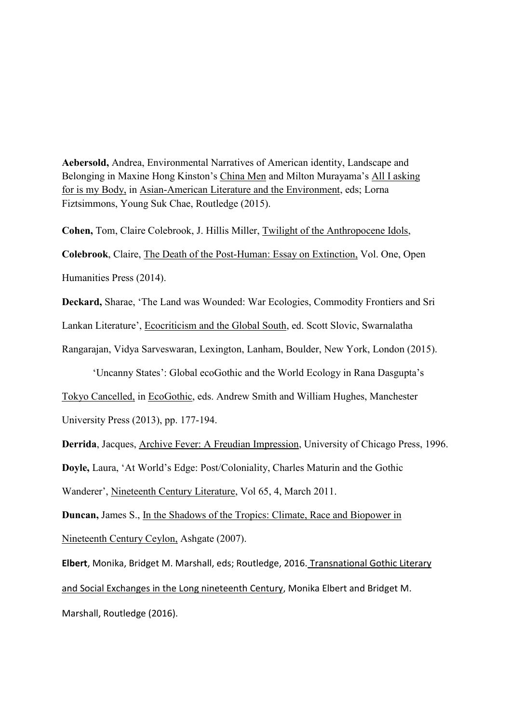**Aebersold,** Andrea, Environmental Narratives of American identity, Landscape and Belonging in Maxine Hong Kinston's China Men and Milton Murayama's All I asking for is my Body, in Asian-American Literature and the Environment, eds; Lorna Fiztsimmons, Young Suk Chae, Routledge (2015).

**Cohen,** Tom, Claire Colebrook, J. Hillis Miller, Twilight of the Anthropocene Idols, **Colebrook**, Claire, The Death of the Post-Human: Essay on Extinction, Vol. One, Open Humanities Press (2014).

**Deckard,** Sharae, 'The Land was Wounded: War Ecologies, Commodity Frontiers and Sri Lankan Literature', Ecocriticism and the Global South, ed. Scott Slovic, Swarnalatha Rangarajan, Vidya Sarveswaran, Lexington, Lanham, Boulder, New York, London (2015).

'Uncanny States': Global ecoGothic and the World Ecology in Rana Dasgupta's

Tokyo Cancelled, in EcoGothic, eds. Andrew Smith and William Hughes, Manchester University Press (2013), pp. 177-194.

**Derrida**, Jacques, Archive Fever: A Freudian Impression, University of Chicago Press, 1996. **Doyle,** Laura, 'At World's Edge: Post/Coloniality, Charles Maturin and the Gothic Wanderer', Nineteenth Century Literature, Vol 65, 4, March 2011.

**Duncan,** James S., In the Shadows of the Tropics: Climate, Race and Biopower in Nineteenth Century Ceylon, Ashgate (2007).

**Elbert**, Monika, Bridget M. Marshall, eds; Routledge, 2016. Transnational Gothic Literary and Social Exchanges in the Long nineteenth Century, Monika Elbert and Bridget M. Marshall, Routledge (2016).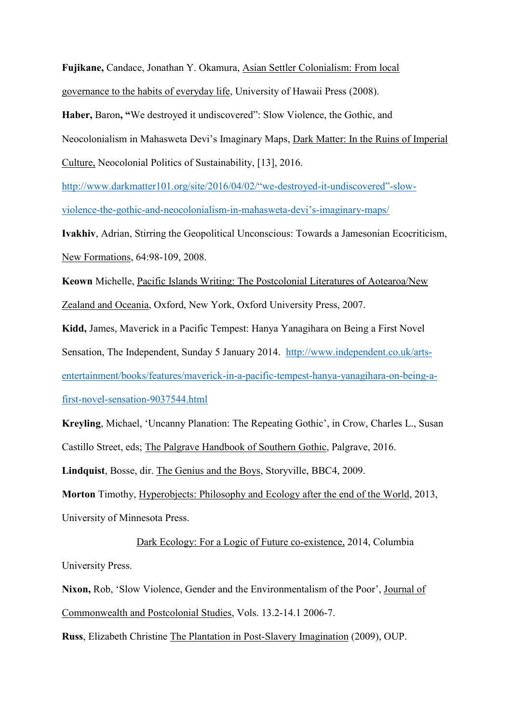**Fujikane,** Candace, Jonathan Y. Okamura, Asian Settler Colonialism: From local governance to the habits of everyday life, University of Hawaii Press (2008).

**Haber,** Baron**, "**We destroyed it undiscovered": Slow Violence, the Gothic, and

Neocolonialism in Mahasweta Devi's Imaginary Maps, Dark Matter: In the Ruins of Imperial

Culture, Neocolonial Politics of Sustainability, [13], 2016.

[http://www.darkmatter101.org/site/2016/04/02/"we](http://www.darkmatter101.org/site/2016/04/02/)-destroyed-it-undiscovered"-slow[violence-the-gothic-and-neocolonialism-in-mahasweta-](http://www.darkmatter101.org/site/2016/04/02/)devi's-imaginary-maps/

**Ivakhiv**, Adrian, Stirring the Geopolitical Unconscious: Towards a Jamesonian Ecocriticism, New Formations, 64:98-109, 2008.

**Keown** Michelle, Pacific Islands Writing: The Postcolonial Literatures of Aotearoa/New

Zealand and Oceania, Oxford, New York, Oxford University Press, 2007.

**Kidd,** James, Maverick in a Pacific Tempest: Hanya Yanagihara on Being a First Novel

Sensation, The Independent, Sunday 5 January 2014. [http://www.independent.co.uk/arts-](http://www.independent.co.uk/arts-entertainment/books/features/maverick-in-a-pacific-tempest-hanya-yanagihara-on-being-a-first-novel-sensation-9037544.html)

[entertainment/books/features/maverick-in-a-pacific-tempest-hanya-yanagihara-on-being-a-](http://www.independent.co.uk/arts-entertainment/books/features/maverick-in-a-pacific-tempest-hanya-yanagihara-on-being-a-first-novel-sensation-9037544.html)

[first-novel-sensation-9037544.html](http://www.independent.co.uk/arts-entertainment/books/features/maverick-in-a-pacific-tempest-hanya-yanagihara-on-being-a-first-novel-sensation-9037544.html)

**Kreyling**, Michael, 'Uncanny Planation: The Repeating Gothic', in Crow, Charles L., Susan Castillo Street, eds; The Palgrave Handbook of Southern Gothic, Palgrave, 2016.

**Lindquist**, Bosse, dir. The Genius and the Boys, Storyville, BBC4, 2009.

**Morton** Timothy, Hyperobjects: Philosophy and Ecology after the end of the World, 2013, University of Minnesota Press.

 Dark Ecology: For a Logic of Future co-existence, 2014, Columbia University Press.

**Nixon,** Rob, 'Slow Violence, Gender and the Environmentalism of the Poor', Journal of Commonwealth and Postcolonial Studies, Vols. 13.2-14.1 2006-7.

**Russ**, Elizabeth Christine The Plantation in Post-Slavery Imagination (2009), OUP.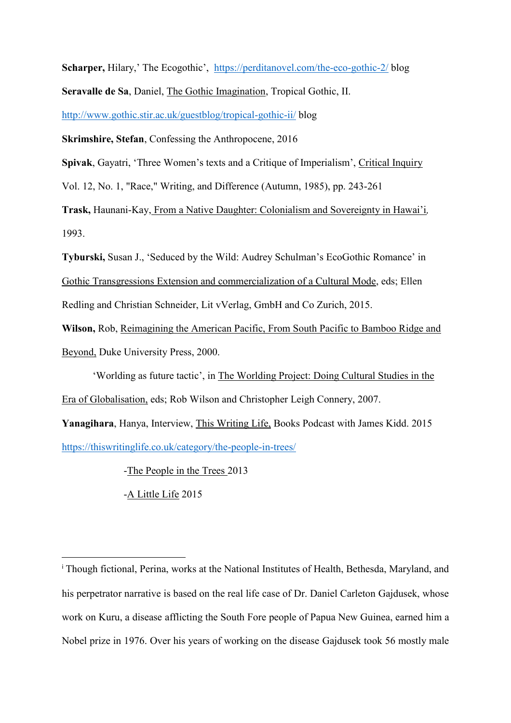**Scharper,** Hilary,' The Ecogothic', <https://perditanovel.com/the-eco-gothic-2/> blog

**Seravalle de Sa**, Daniel, The Gothic Imagination, Tropical Gothic, II.

<http://www.gothic.stir.ac.uk/guestblog/tropical-gothic-ii/> blog

**Skrimshire, Stefan**, Confessing the Anthropocene, 2016

**Spivak**, Gayatri, 'Three Women's texts and a Critique of Imperialism', Critical Inquiry

Vol. 12, No. 1, "Race," Writing, and Difference (Autumn, 1985), pp. 243-261

**Trask,** Haunani-Kay, From a Native Daughter: Colonialism and Sovereignty in Hawai'i*,*  1993.

**Tyburski,** Susan J., 'Seduced by the Wild: Audrey Schulman's EcoGothic Romance' in Gothic Transgressions Extension and commercialization of a Cultural Mode, eds; Ellen Redling and Christian Schneider, Lit vVerlag, GmbH and Co Zurich, 2015.

**Wilson,** Rob, Reimagining the American Pacific, From South Pacific to Bamboo Ridge and Beyond, Duke University Press, 2000.

'Worlding as future tactic', in The Worlding Project: Doing Cultural Studies in the Era of Globalisation, eds; Rob Wilson and Christopher Leigh Connery, 2007.

**Yanagihara**, Hanya, Interview, This Writing Life, Books Podcast with James Kidd. 2015 <https://thiswritinglife.co.uk/category/the-people-in-trees/>

-The People in the Trees 2013

-A Little Life 2015

l

<sup>i</sup> Though fictional, Perina, works at the National Institutes of Health, Bethesda, Maryland, and his perpetrator narrative is based on the real life case of Dr. Daniel Carleton Gajdusek, whose work on Kuru, a disease afflicting the South Fore people of Papua New Guinea, earned him a Nobel prize in 1976. Over his years of working on the disease Gajdusek took 56 mostly male